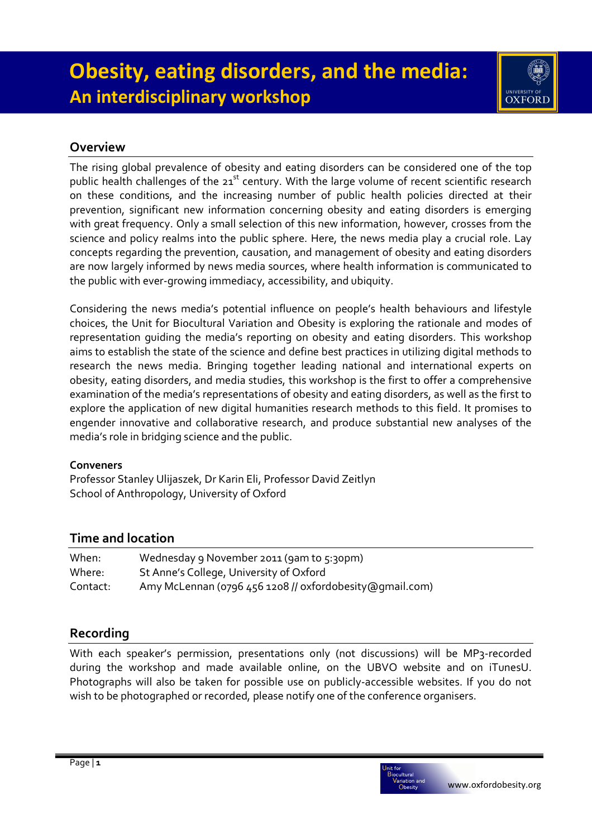

## **Overview**

The rising global prevalence of obesity and eating disorders can be considered one of the top public health challenges of the 21<sup>st</sup> century. With the large volume of recent scientific research on these conditions, and the increasing number of public health policies directed at their prevention, significant new information concerning obesity and eating disorders is emerging with great frequency. Only a small selection of this new information, however, crosses from the science and policy realms into the public sphere. Here, the news media play a crucial role. Lay concepts regarding the prevention, causation, and management of obesity and eating disorders are now largely informed by news media sources, where health information is communicated to the public with ever-growing immediacy, accessibility, and ubiquity.

Considering the news media's potential influence on people's health behaviours and lifestyle choices, the Unit for Biocultural Variation and Obesity is exploring the rationale and modes of representation guiding the media's reporting on obesity and eating disorders. This workshop aims to establish the state of the science and define best practices in utilizing digital methods to research the news media. Bringing together leading national and international experts on obesity, eating disorders, and media studies, this workshop is the first to offer a comprehensive examination of the media's representations of obesity and eating disorders, as well as the first to explore the application of new digital humanities research methods to this field. It promises to engender innovative and collaborative research, and produce substantial new analyses of the media's role in bridging science and the public.

### **Conveners**

Professor Stanley Ulijaszek, Dr Karin Eli, Professor David Zeitlyn School of Anthropology, University of Oxford

# **Time and location**

| When:    | Wednesday 9 November 2011 (9am to 5:30pm)                |
|----------|----------------------------------------------------------|
| Where:   | St Anne's College, University of Oxford                  |
| Contact: | Amy McLennan (0796 456 1208 // oxfordobesity @gmail.com) |

# **Recording**

With each speaker's permission, presentations only (not discussions) will be MP3-recorded during the workshop and made available online, on the UBVO website and on iTunesU. Photographs will also be taken for possible use on publicly-accessible websites. If you do not wish to be photographed or recorded, please notify one of the conference organisers.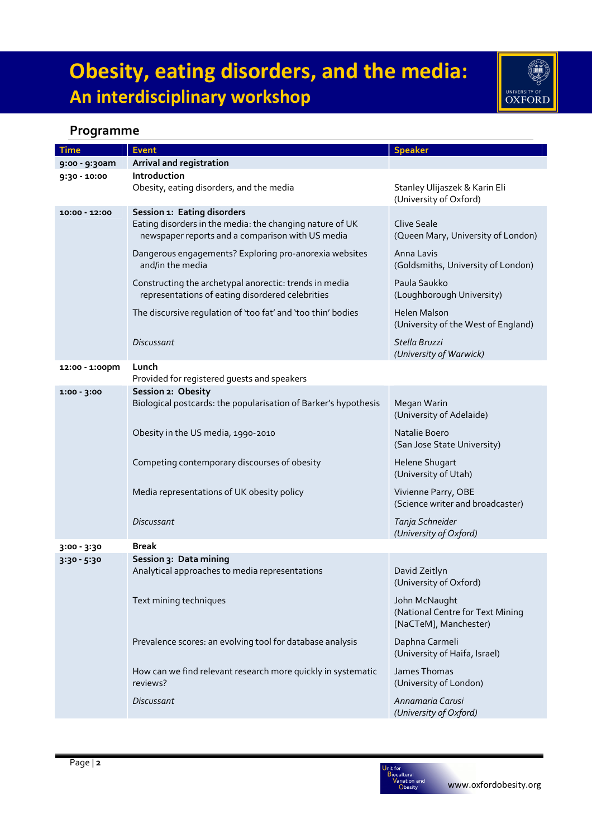

# **Programme**

| Time           | <b>Event</b>                                                                                                 | <b>Speaker</b>                                                             |
|----------------|--------------------------------------------------------------------------------------------------------------|----------------------------------------------------------------------------|
| 9:00 - 9:30am  | Arrival and registration                                                                                     |                                                                            |
| 9:30 - 10:00   | Introduction                                                                                                 |                                                                            |
|                | Obesity, eating disorders, and the media                                                                     | Stanley Ulijaszek & Karin Eli<br>(University of Oxford)                    |
| 10:00 - 12:00  | Session 1: Eating disorders                                                                                  |                                                                            |
|                | Eating disorders in the media: the changing nature of UK<br>newspaper reports and a comparison with US media | <b>Clive Seale</b><br>(Queen Mary, University of London)                   |
|                | Dangerous engagements? Exploring pro-anorexia websites<br>and/in the media                                   | Anna Lavis<br>(Goldsmiths, University of London)                           |
|                | Constructing the archetypal anorectic: trends in media<br>representations of eating disordered celebrities   | Paula Saukko<br>(Loughborough University)                                  |
|                | The discursive regulation of 'too fat' and 'too thin' bodies                                                 | <b>Helen Malson</b><br>(University of the West of England)                 |
|                | Discussant                                                                                                   | Stella Bruzzi<br>(University of Warwick)                                   |
| 12:00 - 1:00pm | Lunch                                                                                                        |                                                                            |
|                | Provided for registered guests and speakers                                                                  |                                                                            |
| $1:00 - 3:00$  | Session 2: Obesity<br>Biological postcards: the popularisation of Barker's hypothesis                        | Megan Warin<br>(University of Adelaide)                                    |
|                | Obesity in the US media, 1990-2010                                                                           | Natalie Boero<br>(San Jose State University)                               |
|                | Competing contemporary discourses of obesity                                                                 | Helene Shugart<br>(University of Utah)                                     |
|                | Media representations of UK obesity policy                                                                   | Vivienne Parry, OBE<br>(Science writer and broadcaster)                    |
|                | <b>Discussant</b>                                                                                            | Tanja Schneider<br>(University of Oxford)                                  |
| 3:00 - 3:30    | <b>Break</b>                                                                                                 |                                                                            |
| $3:30 - 5:30$  | Session 3: Data mining<br>Analytical approaches to media representations                                     | David Zeitlyn<br>(University of Oxford)                                    |
|                | Text mining techniques                                                                                       | John McNaught<br>(National Centre for Text Mining<br>[NaCTeM], Manchester) |
|                | Prevalence scores: an evolving tool for database analysis                                                    | Daphna Carmeli<br>(University of Haifa, Israel)                            |
|                | How can we find relevant research more quickly in systematic<br>reviews?                                     | James Thomas<br>(University of London)                                     |
|                | <b>Discussant</b>                                                                                            | Annamaria Carusi<br>(University of Oxford)                                 |

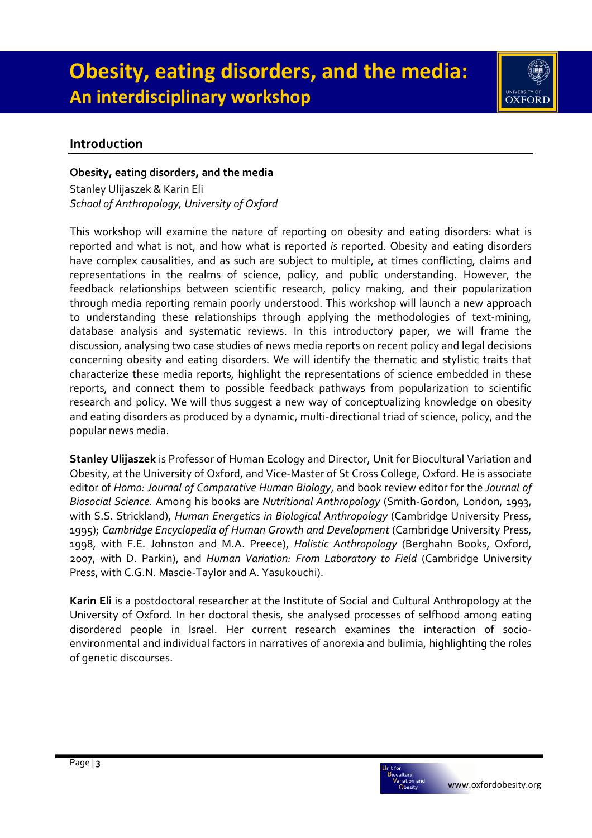

## **Introduction**

#### **Obesity, eating disorders, and the media**

Stanley Ulijaszek & Karin Eli *School of Anthropology, University of Oxford* 

This workshop will examine the nature of reporting on obesity and eating disorders: what is reported and what is not, and how what is reported *is* reported. Obesity and eating disorders have complex causalities, and as such are subject to multiple, at times conflicting, claims and representations in the realms of science, policy, and public understanding. However, the feedback relationships between scientific research, policy making, and their popularization through media reporting remain poorly understood. This workshop will launch a new approach to understanding these relationships through applying the methodologies of text-mining, database analysis and systematic reviews. In this introductory paper, we will frame the discussion, analysing two case studies of news media reports on recent policy and legal decisions concerning obesity and eating disorders. We will identify the thematic and stylistic traits that characterize these media reports, highlight the representations of science embedded in these reports, and connect them to possible feedback pathways from popularization to scientific research and policy. We will thus suggest a new way of conceptualizing knowledge on obesity and eating disorders as produced by a dynamic, multi-directional triad of science, policy, and the popular news media.

**Stanley Ulijaszek** is Professor of Human Ecology and Director, Unit for Biocultural Variation and Obesity, at the University of Oxford, and Vice-Master of St Cross College, Oxford. He is associate editor of *Homo: Journal of Comparative Human Biology*, and book review editor for the *Journal of Biosocial Science*. Among his books are *Nutritional Anthropology* (Smith-Gordon, London, 1993, with S.S. Strickland), *Human Energetics in Biological Anthropology* (Cambridge University Press, 1995); *Cambridge Encyclopedia of Human Growth and Development* (Cambridge University Press, 1998, with F.E. Johnston and M.A. Preece), *Holistic Anthropology* (Berghahn Books, Oxford, 2007, with D. Parkin), and *Human Variation: From Laboratory to Field* (Cambridge University Press, with C.G.N. Mascie-Taylor and A. Yasukouchi).

**Karin Eli** is a postdoctoral researcher at the Institute of Social and Cultural Anthropology at the University of Oxford. In her doctoral thesis, she analysed processes of selfhood among eating disordered people in Israel. Her current research examines the interaction of socioenvironmental and individual factors in narratives of anorexia and bulimia, highlighting the roles of genetic discourses.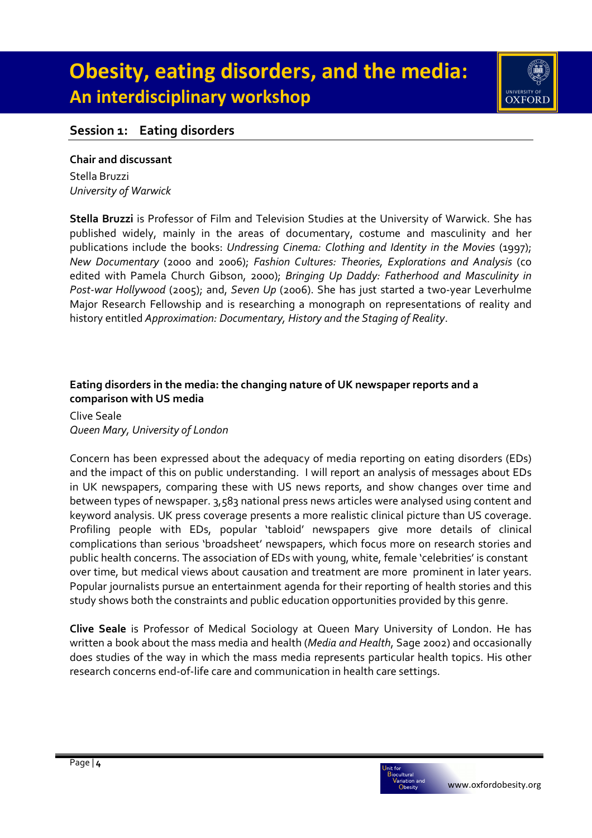

## **Session 1: Eating disorders**

#### **Chair and discussant**

Stella Bruzzi *University of Warwick* 

**Stella Bruzzi** is Professor of Film and Television Studies at the University of Warwick. She has published widely, mainly in the areas of documentary, costume and masculinity and her publications include the books: *Undressing Cinema: Clothing and Identity in the Movies* (1997); *New Documentary* (2000 and 2006); *Fashion Cultures: Theories, Explorations and Analysis* (co edited with Pamela Church Gibson, 2000); *Bringing Up Daddy: Fatherhood and Masculinity in Post-war Hollywood* (2005); and, *Seven Up* (2006). She has just started a two-year Leverhulme Major Research Fellowship and is researching a monograph on representations of reality and history entitled *Approximation: Documentary, History and the Staging of Reality*.

#### **Eating disorders in the media: the changing nature of UK newspaper reports and a comparison with US media**

Clive Seale *Queen Mary, University of London* 

Concern has been expressed about the adequacy of media reporting on eating disorders (EDs) and the impact of this on public understanding. I will report an analysis of messages about EDs in UK newspapers, comparing these with US news reports, and show changes over time and between types of newspaper. 3,583 national press news articles were analysed using content and keyword analysis. UK press coverage presents a more realistic clinical picture than US coverage. Profiling people with EDs, popular 'tabloid' newspapers give more details of clinical complications than serious 'broadsheet' newspapers, which focus more on research stories and public health concerns. The association of EDs with young, white, female 'celebrities' is constant over time, but medical views about causation and treatment are more prominent in later years. Popular journalists pursue an entertainment agenda for their reporting of health stories and this study shows both the constraints and public education opportunities provided by this genre.

**Clive Seale** is Professor of Medical Sociology at Queen Mary University of London. He has written a book about the mass media and health (*Media and Health*, Sage 2002) and occasionally does studies of the way in which the mass media represents particular health topics. His other research concerns end-of-life care and communication in health care settings.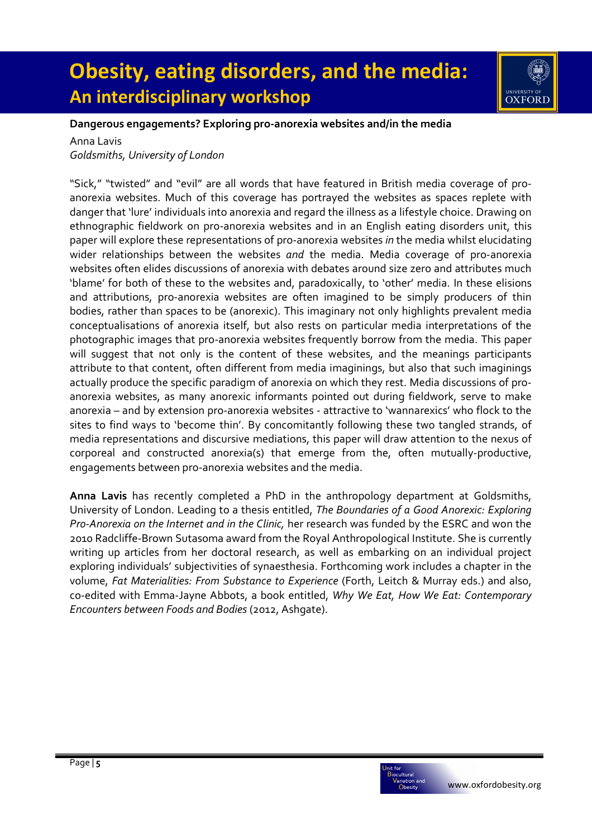

#### **Dangerous engagements? Exploring pro-anorexia websites and/in the media**

Anna Lavis

*Goldsmiths, University of London* 

"Sick," "twisted" and "evil" are all words that have featured in British media coverage of proanorexia websites. Much of this coverage has portrayed the websites as spaces replete with danger that 'lure' individuals into anorexia and regard the illness as a lifestyle choice. Drawing on ethnographic fieldwork on pro-anorexia websites and in an English eating disorders unit, this paper will explore these representations of pro-anorexia websites *in* the media whilst elucidating wider relationships between the websites *and* the media. Media coverage of pro-anorexia websites often elides discussions of anorexia with debates around size zero and attributes much 'blame' for both of these to the websites and, paradoxically, to 'other' media. In these elisions and attributions, pro-anorexia websites are often imagined to be simply producers of thin bodies, rather than spaces to be (anorexic). This imaginary not only highlights prevalent media conceptualisations of anorexia itself, but also rests on particular media interpretations of the photographic images that pro-anorexia websites frequently borrow from the media. This paper will suggest that not only is the content of these websites, and the meanings participants attribute to that content, often different from media imaginings, but also that such imaginings actually produce the specific paradigm of anorexia on which they rest. Media discussions of proanorexia websites, as many anorexic informants pointed out during fieldwork, serve to make anorexia – and by extension pro-anorexia websites - attractive to 'wannarexics' who flock to the sites to find ways to 'become thin'. By concomitantly following these two tangled strands, of media representations and discursive mediations, this paper will draw attention to the nexus of corporeal and constructed anorexia(s) that emerge from the, often mutually-productive, engagements between pro-anorexia websites and the media.

**Anna Lavis** has recently completed a PhD in the anthropology department at Goldsmiths, University of London. Leading to a thesis entitled, *The Boundaries of a Good Anorexic: Exploring Pro-Anorexia on the Internet and in the Clinic,* her research was funded by the ESRC and won the 2010 Radcliffe-Brown Sutasoma award from the Royal Anthropological Institute. She is currently writing up articles from her doctoral research, as well as embarking on an individual project exploring individuals' subjectivities of synaesthesia. Forthcoming work includes a chapter in the volume, *Fat Materialities: From Substance to Experience* (Forth, Leitch & Murray eds.) and also, co-edited with Emma-Jayne Abbots, a book entitled, *Why We Eat, How We Eat: Contemporary Encounters between Foods and Bodies* (2012, Ashgate).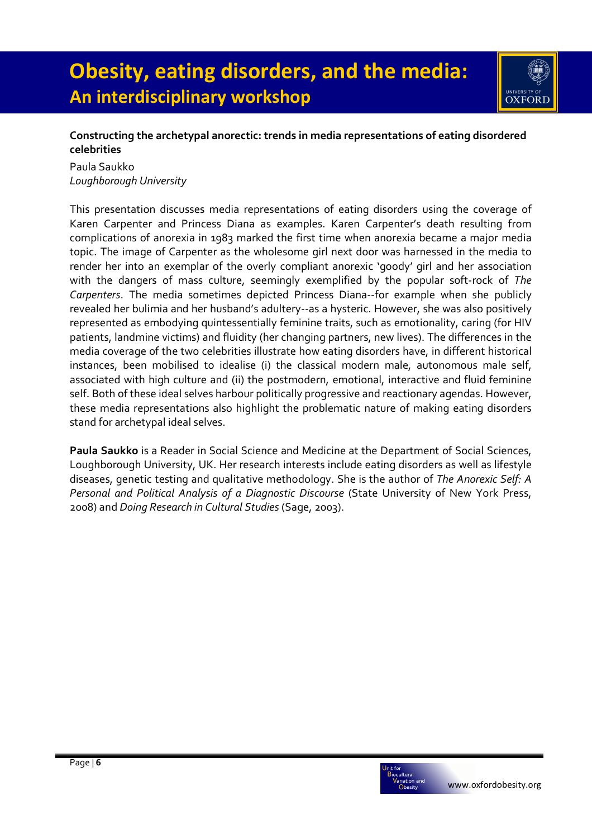

### **Constructing the archetypal anorectic: trends in media representations of eating disordered celebrities**

Paula Saukko *Loughborough University* 

This presentation discusses media representations of eating disorders using the coverage of Karen Carpenter and Princess Diana as examples. Karen Carpenter's death resulting from complications of anorexia in 1983 marked the first time when anorexia became a major media topic. The image of Carpenter as the wholesome girl next door was harnessed in the media to render her into an exemplar of the overly compliant anorexic 'goody' girl and her association with the dangers of mass culture, seemingly exemplified by the popular soft-rock of *The Carpenters*. The media sometimes depicted Princess Diana--for example when she publicly revealed her bulimia and her husband's adultery--as a hysteric. However, she was also positively represented as embodying quintessentially feminine traits, such as emotionality, caring (for HIV patients, landmine victims) and fluidity (her changing partners, new lives). The differences in the media coverage of the two celebrities illustrate how eating disorders have, in different historical instances, been mobilised to idealise (i) the classical modern male, autonomous male self, associated with high culture and (ii) the postmodern, emotional, interactive and fluid feminine self. Both of these ideal selves harbour politically progressive and reactionary agendas. However, these media representations also highlight the problematic nature of making eating disorders stand for archetypal ideal selves.

**Paula Saukko** is a Reader in Social Science and Medicine at the Department of Social Sciences, Loughborough University, UK. Her research interests include eating disorders as well as lifestyle diseases, genetic testing and qualitative methodology. She is the author of *The Anorexic Self: A Personal and Political Analysis of a Diagnostic Discourse* (State University of New York Press, 2008) and *Doing Research in Cultural Studies* (Sage, 2003).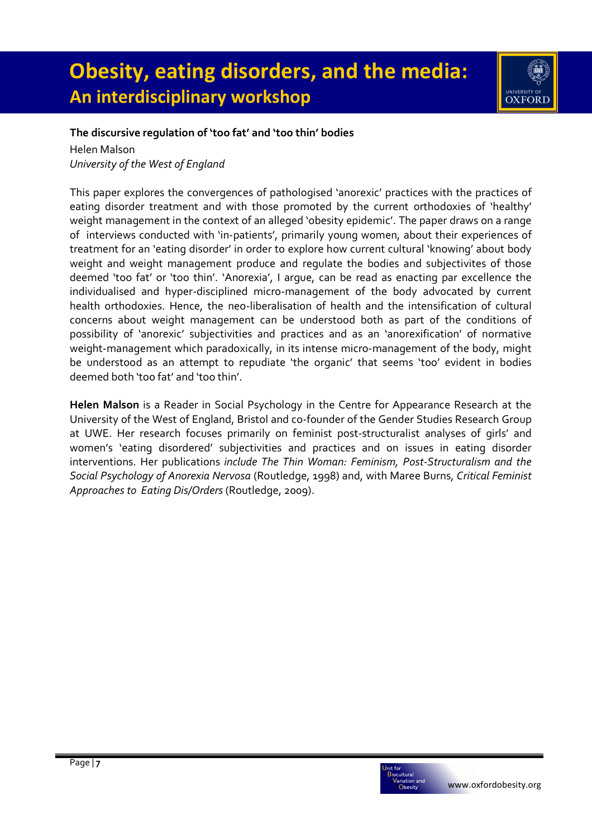

#### **The discursive regulation of 'too fat' and 'too thin' bodies**

Helen Malson *University of the West of England* 

This paper explores the convergences of pathologised 'anorexic' practices with the practices of eating disorder treatment and with those promoted by the current orthodoxies of 'healthy' weight management in the context of an alleged 'obesity epidemic'. The paper draws on a range of interviews conducted with 'in-patients', primarily young women, about their experiences of treatment for an 'eating disorder' in order to explore how current cultural 'knowing' about body weight and weight management produce and regulate the bodies and subjectivites of those deemed 'too fat' or 'too thin'. 'Anorexia', I argue, can be read as enacting par excellence the individualised and hyper-disciplined micro-management of the body advocated by current health orthodoxies. Hence, the neo-liberalisation of health and the intensification of cultural concerns about weight management can be understood both as part of the conditions of possibility of 'anorexic' subjectivities and practices and as an 'anorexification' of normative weight-management which paradoxically, in its intense micro-management of the body, might be understood as an attempt to repudiate 'the organic' that seems 'too' evident in bodies deemed both 'too fat' and 'too thin'.

**Helen Malson** is a Reader in Social Psychology in the Centre for Appearance Research at the University of the West of England, Bristol and co-founder of the Gender Studies Research Group at UWE. Her research focuses primarily on feminist post-structuralist analyses of girls' and women's 'eating disordered' subjectivities and practices and on issues in eating disorder interventions. Her publications *include The Thin Woman: Feminism, Post-Structuralism and the Social Psychology of Anorexia Nervosa* (Routledge, 1998) and, with Maree Burns, *Critical Feminist Approaches to Eating Dis/Orders* (Routledge, 2009).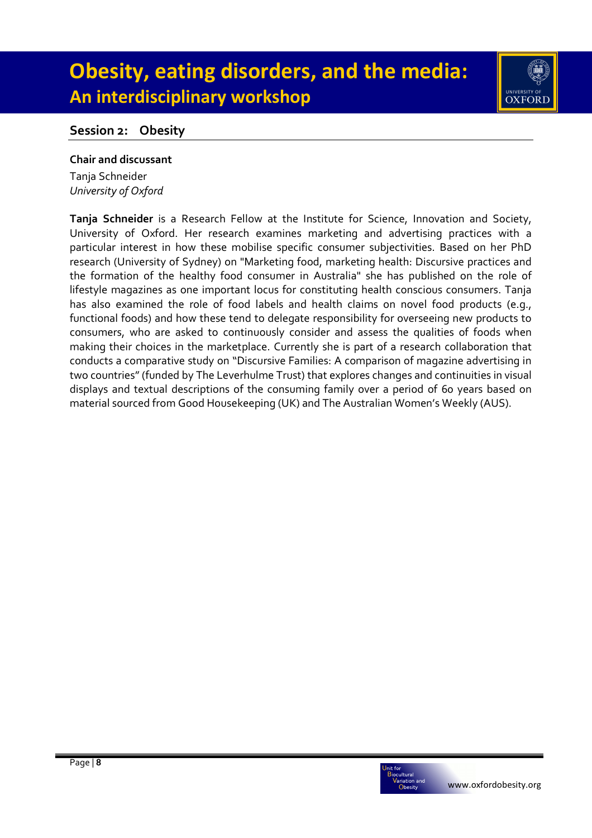

## **Session 2: Obesity**

#### **Chair and discussant**

Tanja Schneider *University of Oxford* 

**Tanja Schneider** is a Research Fellow at the Institute for Science, Innovation and Society, University of Oxford. Her research examines marketing and advertising practices with a particular interest in how these mobilise specific consumer subjectivities. Based on her PhD research (University of Sydney) on "Marketing food, marketing health: Discursive practices and the formation of the healthy food consumer in Australia" she has published on the role of lifestyle magazines as one important locus for constituting health conscious consumers. Tanja has also examined the role of food labels and health claims on novel food products (e.g., functional foods) and how these tend to delegate responsibility for overseeing new products to consumers, who are asked to continuously consider and assess the qualities of foods when making their choices in the marketplace. Currently she is part of a research collaboration that conducts a comparative study on "Discursive Families: A comparison of magazine advertising in two countries" (funded by The Leverhulme Trust) that explores changes and continuities in visual displays and textual descriptions of the consuming family over a period of 60 years based on material sourced from Good Housekeeping (UK) and The Australian Women's Weekly (AUS).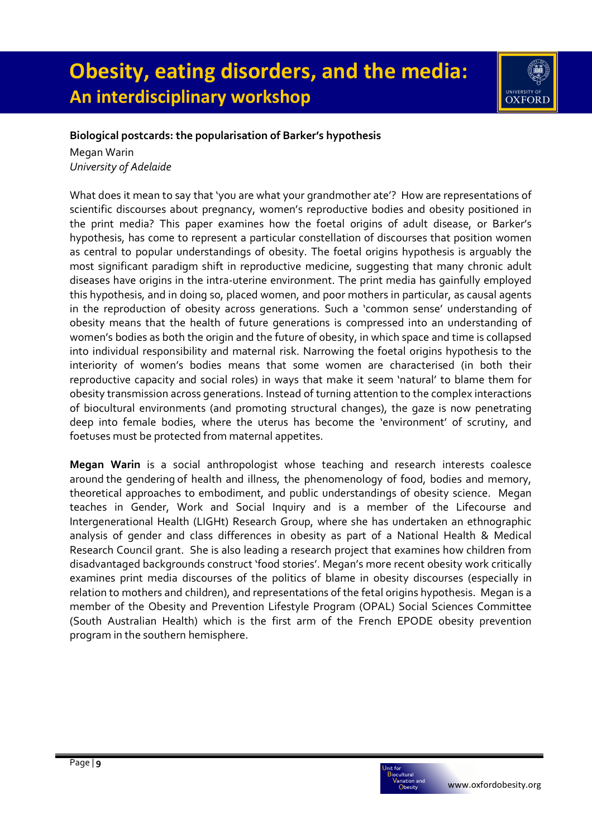

### **Biological postcards: the popularisation of Barker's hypothesis**

Megan Warin *University of Adelaide* 

What does it mean to say that 'you are what your grandmother ate'? How are representations of scientific discourses about pregnancy, women's reproductive bodies and obesity positioned in the print media? This paper examines how the foetal origins of adult disease, or Barker's hypothesis, has come to represent a particular constellation of discourses that position women as central to popular understandings of obesity. The foetal origins hypothesis is arguably the most significant paradigm shift in reproductive medicine, suggesting that many chronic adult diseases have origins in the intra-uterine environment. The print media has gainfully employed this hypothesis, and in doing so, placed women, and poor mothers in particular, as causal agents in the reproduction of obesity across generations. Such a 'common sense' understanding of obesity means that the health of future generations is compressed into an understanding of women's bodies as both the origin and the future of obesity, in which space and time is collapsed into individual responsibility and maternal risk. Narrowing the foetal origins hypothesis to the interiority of women's bodies means that some women are characterised (in both their reproductive capacity and social roles) in ways that make it seem 'natural' to blame them for obesity transmission across generations. Instead of turning attention to the complex interactions of biocultural environments (and promoting structural changes), the gaze is now penetrating deep into female bodies, where the uterus has become the 'environment' of scrutiny, and foetuses must be protected from maternal appetites.

**Megan Warin** is a social anthropologist whose teaching and research interests coalesce around the gendering of health and illness, the phenomenology of food, bodies and memory, theoretical approaches to embodiment, and public understandings of obesity science. Megan teaches in Gender, Work and Social Inquiry and is a member of the Lifecourse and Intergenerational Health (LIGHt) Research Group, where she has undertaken an ethnographic analysis of gender and class differences in obesity as part of a National Health & Medical Research Council grant. She is also leading a research project that examines how children from disadvantaged backgrounds construct 'food stories'. Megan's more recent obesity work critically examines print media discourses of the politics of blame in obesity discourses (especially in relation to mothers and children), and representations of the fetal origins hypothesis. Megan is a member of the Obesity and Prevention Lifestyle Program (OPAL) Social Sciences Committee (South Australian Health) which is the first arm of the French EPODE obesity prevention program in the southern hemisphere.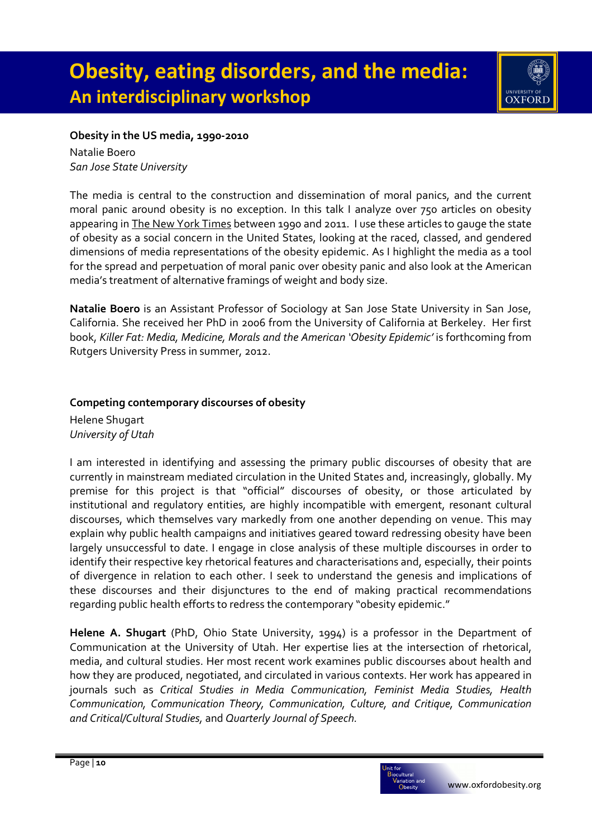

#### **Obesity in the US media, 1990-2010**

Natalie Boero *San Jose State University* 

The media is central to the construction and dissemination of moral panics, and the current moral panic around obesity is no exception. In this talk I analyze over 750 articles on obesity appearing in The New York Times between 1990 and 2011. I use these articles to gauge the state of obesity as a social concern in the United States, looking at the raced, classed, and gendered dimensions of media representations of the obesity epidemic. As I highlight the media as a tool for the spread and perpetuation of moral panic over obesity panic and also look at the American media's treatment of alternative framings of weight and body size.

**Natalie Boero** is an Assistant Professor of Sociology at San Jose State University in San Jose, California. She received her PhD in 2006 from the University of California at Berkeley. Her first book, *Killer Fat: Media, Medicine, Morals and the American 'Obesity Epidemic'* is forthcoming from Rutgers University Press in summer, 2012.

### **Competing contemporary discourses of obesity**  Helene Shugart *University of Utah*

I am interested in identifying and assessing the primary public discourses of obesity that are currently in mainstream mediated circulation in the United States and, increasingly, globally. My premise for this project is that "official" discourses of obesity, or those articulated by institutional and regulatory entities, are highly incompatible with emergent, resonant cultural discourses, which themselves vary markedly from one another depending on venue. This may explain why public health campaigns and initiatives geared toward redressing obesity have been largely unsuccessful to date. I engage in close analysis of these multiple discourses in order to identify their respective key rhetorical features and characterisations and, especially, their points of divergence in relation to each other. I seek to understand the genesis and implications of these discourses and their disjunctures to the end of making practical recommendations regarding public health efforts to redress the contemporary "obesity epidemic."

**Helene A. Shugart** (PhD, Ohio State University, 1994) is a professor in the Department of Communication at the University of Utah. Her expertise lies at the intersection of rhetorical, media, and cultural studies. Her most recent work examines public discourses about health and how they are produced, negotiated, and circulated in various contexts. Her work has appeared in journals such as *Critical Studies in Media Communication, Feminist Media Studies, Health Communication, Communication Theory, Communication, Culture, and Critique, Communication and Critical/Cultural Studies,* and *Quarterly Journal of Speech.*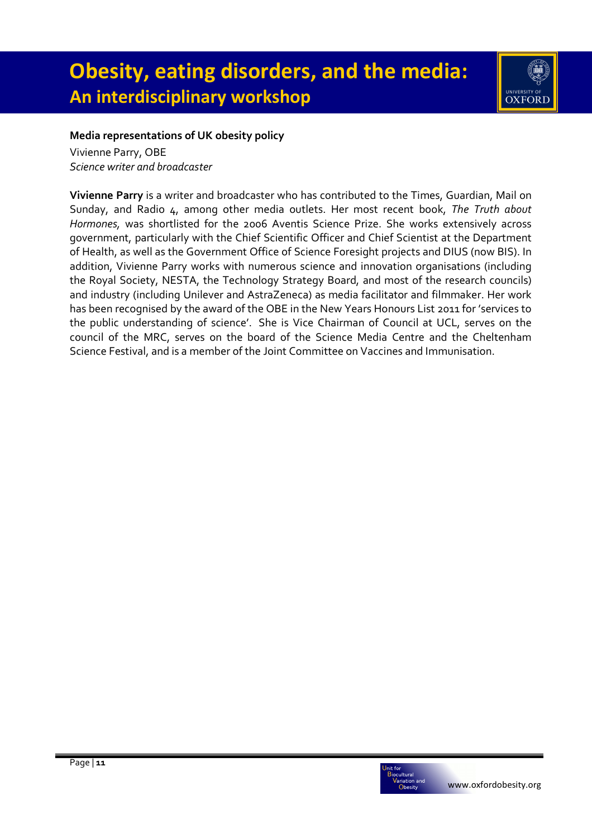

### **Media representations of UK obesity policy**

Vivienne Parry, OBE *Science writer and broadcaster* 

**Vivienne Parry** is a writer and broadcaster who has contributed to the Times, Guardian, Mail on Sunday, and Radio 4, among other media outlets. Her most recent book, *The Truth about Hormones,* was shortlisted for the 2006 Aventis Science Prize. She works extensively across government, particularly with the Chief Scientific Officer and Chief Scientist at the Department of Health, as well as the Government Office of Science Foresight projects and DIUS (now BIS). In addition, Vivienne Parry works with numerous science and innovation organisations (including the Royal Society, NESTA, the Technology Strategy Board, and most of the research councils) and industry (including Unilever and AstraZeneca) as media facilitator and filmmaker. Her work has been recognised by the award of the OBE in the New Years Honours List 2011 for 'services to the public understanding of science'. She is Vice Chairman of Council at UCL, serves on the council of the MRC, serves on the board of the Science Media Centre and the Cheltenham Science Festival, and is a member of the Joint Committee on Vaccines and Immunisation.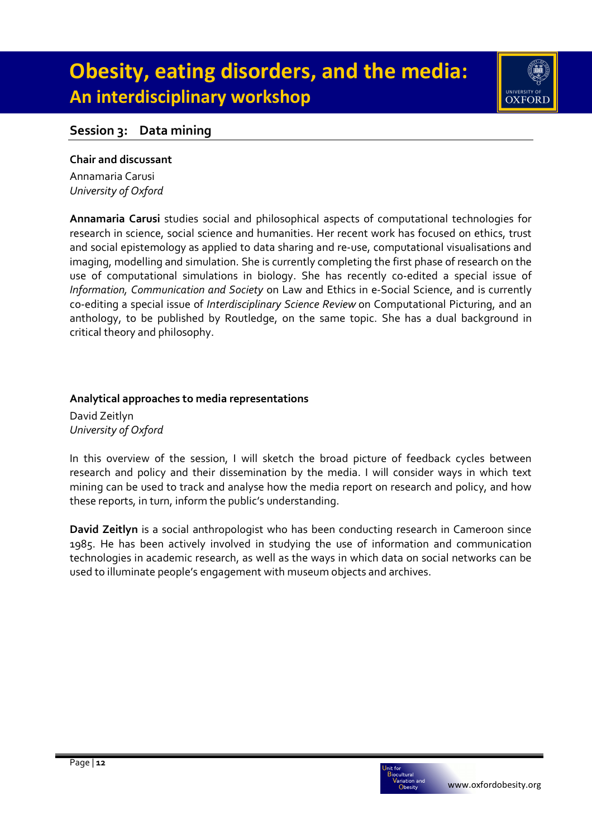

## **Session 3: Data mining**

#### **Chair and discussant**

Annamaria Carusi *University of Oxford*

**Annamaria Carusi** studies social and philosophical aspects of computational technologies for research in science, social science and humanities. Her recent work has focused on ethics, trust and social epistemology as applied to data sharing and re-use, computational visualisations and imaging, modelling and simulation. She is currently completing the first phase of research on the use of computational simulations in biology. She has recently co-edited a special issue of *Information, Communication and Society* on Law and Ethics in e-Social Science, and is currently co-editing a special issue of *Interdisciplinary Science Review* on Computational Picturing, and an anthology, to be published by Routledge, on the same topic. She has a dual background in critical theory and philosophy.

#### **Analytical approaches to media representations**

David Zeitlyn *University of Oxford* 

In this overview of the session, I will sketch the broad picture of feedback cycles between research and policy and their dissemination by the media. I will consider ways in which text mining can be used to track and analyse how the media report on research and policy, and how these reports, in turn, inform the public's understanding.

**David Zeitlyn** is a social anthropologist who has been conducting research in Cameroon since 1985. He has been actively involved in studying the use of information and communication technologies in academic research, as well as the ways in which data on social networks can be used to illuminate people's engagement with museum objects and archives.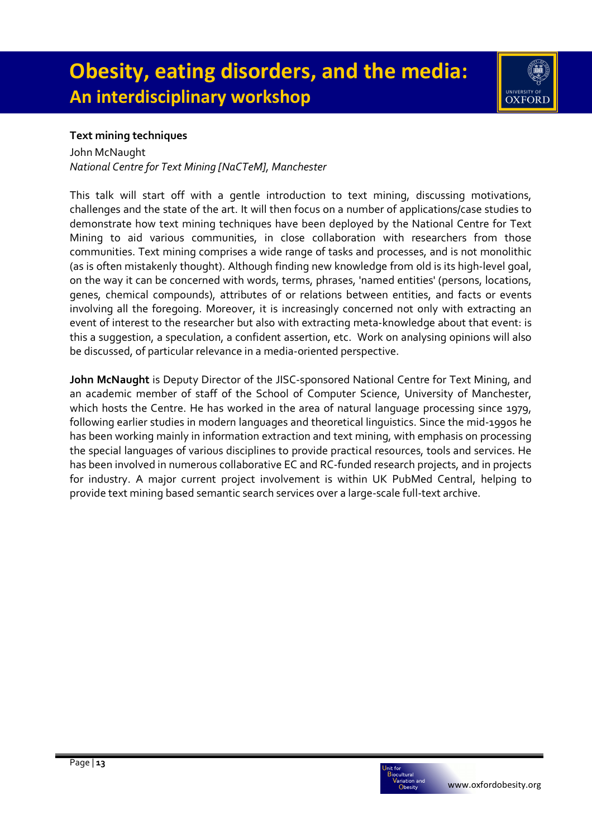

John McNaught *National Centre for Text Mining [NaCTeM], Manchester* 

This talk will start off with a gentle introduction to text mining, discussing motivations, challenges and the state of the art. It will then focus on a number of applications/case studies to demonstrate how text mining techniques have been deployed by the National Centre for Text Mining to aid various communities, in close collaboration with researchers from those communities. Text mining comprises a wide range of tasks and processes, and is not monolithic (as is often mistakenly thought). Although finding new knowledge from old is its high-level goal, on the way it can be concerned with words, terms, phrases, 'named entities' (persons, locations, genes, chemical compounds), attributes of or relations between entities, and facts or events involving all the foregoing. Moreover, it is increasingly concerned not only with extracting an event of interest to the researcher but also with extracting meta-knowledge about that event: is this a suggestion, a speculation, a confident assertion, etc. Work on analysing opinions will also be discussed, of particular relevance in a media-oriented perspective.

**John McNaught** is Deputy Director of the JISC-sponsored National Centre for Text Mining, and an academic member of staff of the School of Computer Science, University of Manchester, which hosts the Centre. He has worked in the area of natural language processing since 1979, following earlier studies in modern languages and theoretical linguistics. Since the mid-1990s he has been working mainly in information extraction and text mining, with emphasis on processing the special languages of various disciplines to provide practical resources, tools and services. He has been involved in numerous collaborative EC and RC-funded research projects, and in projects for industry. A major current project involvement is within UK PubMed Central, helping to provide text mining based semantic search services over a large-scale full-text archive.

UNIVERSITY OF<br>**OXFORD**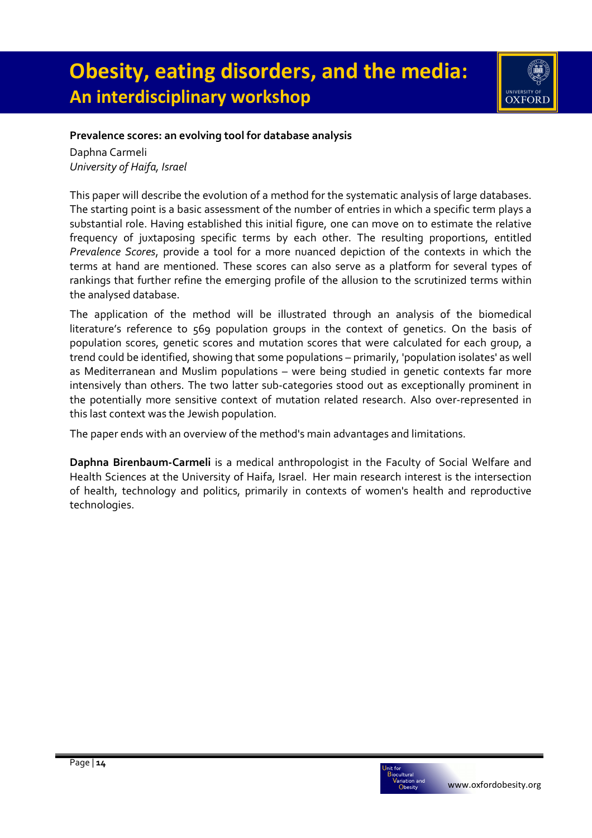

### **Prevalence scores: an evolving tool for database analysis**

Daphna Carmeli *University of Haifa, Israel* 

This paper will describe the evolution of a method for the systematic analysis of large databases. The starting point is a basic assessment of the number of entries in which a specific term plays a substantial role. Having established this initial figure, one can move on to estimate the relative frequency of juxtaposing specific terms by each other. The resulting proportions, entitled *Prevalence Scores*, provide a tool for a more nuanced depiction of the contexts in which the terms at hand are mentioned. These scores can also serve as a platform for several types of rankings that further refine the emerging profile of the allusion to the scrutinized terms within the analysed database.

The application of the method will be illustrated through an analysis of the biomedical literature's reference to 569 population groups in the context of genetics. On the basis of population scores, genetic scores and mutation scores that were calculated for each group, a trend could be identified, showing that some populations – primarily, 'population isolates' as well as Mediterranean and Muslim populations – were being studied in genetic contexts far more intensively than others. The two latter sub-categories stood out as exceptionally prominent in the potentially more sensitive context of mutation related research. Also over-represented in this last context was the Jewish population.

The paper ends with an overview of the method's main advantages and limitations.

**Daphna Birenbaum-Carmeli** is a medical anthropologist in the Faculty of Social Welfare and Health Sciences at the University of Haifa, Israel. Her main research interest is the intersection of health, technology and politics, primarily in contexts of women's health and reproductive technologies.